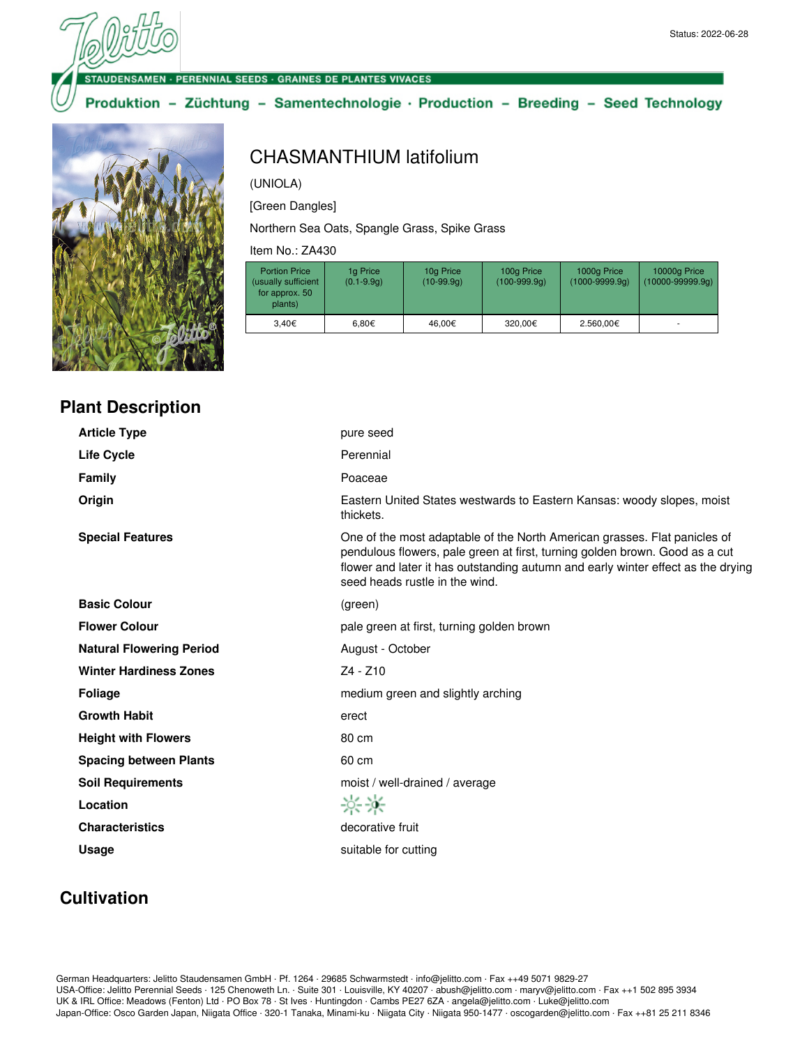#### **ENSAMEN · PERENNIAL SEEDS · GRAINES DE PLANTES VIVACES**

## Produktion - Züchtung - Samentechnologie · Production - Breeding - Seed Technology



**Plant Description**

## (UNIOLA)

CHASMANTHIUM latifolium

[Green Dangles]

Northern Sea Oats, Spangle Grass, Spike Grass

Item No.: ZA430

| <b>Portion Price</b><br>(usually sufficient<br>for approx. 50<br>plants) | 1g Price<br>$(0.1 - 9.9q)$ | 10g Price<br>$(10-99.9q)$ | 100g Price<br>$(100-999.9q)$ | 1000g Price<br>$(1000 - 9999.9q)$ | 10000g Price<br>$(10000 - 99999.9q)$ |
|--------------------------------------------------------------------------|----------------------------|---------------------------|------------------------------|-----------------------------------|--------------------------------------|
| 3.40€                                                                    | 6.80€                      | 46.00€                    | 320.00€                      | 2.560.00€                         |                                      |

| <b>Article Type</b>             | pure seed                                                                                                                                                                                                                                                                      |
|---------------------------------|--------------------------------------------------------------------------------------------------------------------------------------------------------------------------------------------------------------------------------------------------------------------------------|
| <b>Life Cycle</b>               | Perennial                                                                                                                                                                                                                                                                      |
| <b>Family</b>                   | Poaceae                                                                                                                                                                                                                                                                        |
| Origin                          | Eastern United States westwards to Eastern Kansas: woody slopes, moist<br>thickets.                                                                                                                                                                                            |
| <b>Special Features</b>         | One of the most adaptable of the North American grasses. Flat panicles of<br>pendulous flowers, pale green at first, turning golden brown. Good as a cut<br>flower and later it has outstanding autumn and early winter effect as the drying<br>seed heads rustle in the wind. |
| <b>Basic Colour</b>             | (green)                                                                                                                                                                                                                                                                        |
| <b>Flower Colour</b>            | pale green at first, turning golden brown                                                                                                                                                                                                                                      |
| <b>Natural Flowering Period</b> | August - October                                                                                                                                                                                                                                                               |
| <b>Winter Hardiness Zones</b>   | $Z4 - Z10$                                                                                                                                                                                                                                                                     |
| <b>Foliage</b>                  | medium green and slightly arching                                                                                                                                                                                                                                              |
| <b>Growth Habit</b>             | erect                                                                                                                                                                                                                                                                          |
| <b>Height with Flowers</b>      | 80 cm                                                                                                                                                                                                                                                                          |
| <b>Spacing between Plants</b>   | 60 cm                                                                                                                                                                                                                                                                          |
| <b>Soil Requirements</b>        | moist / well-drained / average                                                                                                                                                                                                                                                 |
| Location                        | 兴兴                                                                                                                                                                                                                                                                             |
| <b>Characteristics</b>          | decorative fruit                                                                                                                                                                                                                                                               |
| <b>Usage</b>                    | suitable for cutting                                                                                                                                                                                                                                                           |

# **Cultivation**